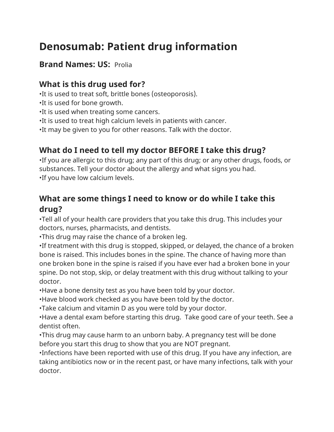# **Denosumab: Patient drug information**

#### **Brand Names: US:** Prolia

#### **What is this drug used for?**

•It is used to treat soft, brittle bones (osteoporosis).

- •It is used for bone growth.
- •It is used when treating some cancers.
- •It is used to treat high calcium levels in patients with cancer.
- •It may be given to you for other reasons. Talk with the doctor.

## **What do I need to tell my doctor BEFORE I take this drug?**

•If you are allergic to this drug; any part of this drug; or any other drugs, foods, or substances. Tell your doctor about the allergy and what signs you had. •If you have low calcium levels.

## **What are some things I need to know or do while I take this drug?**

•Tell all of your health care providers that you take this drug. This includes your doctors, nurses, pharmacists, and dentists.

•This drug may raise the chance of a broken leg.

•If treatment with this drug is stopped, skipped, or delayed, the chance of a broken bone is raised. This includes bones in the spine. The chance of having more than one broken bone in the spine is raised if you have ever had a broken bone in your spine. Do not stop, skip, or delay treatment with this drug without talking to your doctor.

•Have a bone density test as you have been told by your doctor.

•Have blood work checked as you have been told by the doctor.

•Take calcium and vitamin D as you were told by your doctor.

•Have a dental exam before starting this drug. Take good care of your teeth. See a dentist often.

•This drug may cause harm to an unborn baby. A pregnancy test will be done before you start this drug to show that you are NOT pregnant.

•Infections have been reported with use of this drug. If you have any infection, are taking antibiotics now or in the recent past, or have many infections, talk with your doctor.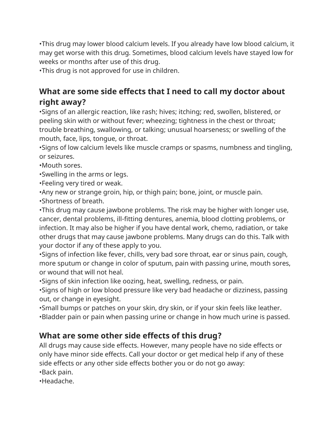•This drug may lower blood calcium levels. If you already have low blood calcium, it may get worse with this drug. Sometimes, blood calcium levels have stayed low for weeks or months after use of this drug.

•This drug is not approved for use in children.

### **What are some side effects that I need to call my doctor about right away?**

•Signs of an allergic reaction, like rash; hives; itching; red, swollen, blistered, or peeling skin with or without fever; wheezing; tightness in the chest or throat; trouble breathing, swallowing, or talking; unusual hoarseness; or swelling of the mouth, face, lips, tongue, or throat.

•Signs of low calcium levels like muscle cramps or spasms, numbness and tingling, or seizures.

•Mouth sores.

•Swelling in the arms or legs.

•Feeling very tired or weak.

•Any new or strange groin, hip, or thigh pain; bone, joint, or muscle pain.

•Shortness of breath.

•This drug may cause jawbone problems. The risk may be higher with longer use, cancer, dental problems, ill-fitting dentures, anemia, blood clotting problems, or infection. It may also be higher if you have dental work, chemo, radiation, or take other drugs that may cause jawbone problems. Many drugs can do this. Talk with your doctor if any of these apply to you.

•Signs of infection like fever, chills, very bad sore throat, ear or sinus pain, cough, more sputum or change in color of sputum, pain with passing urine, mouth sores, or wound that will not heal.

•Signs of skin infection like oozing, heat, swelling, redness, or pain.

•Signs of high or low blood pressure like very bad headache or dizziness, passing out, or change in eyesight.

•Small bumps or patches on your skin, dry skin, or if your skin feels like leather. •Bladder pain or pain when passing urine or change in how much urine is passed.

#### **What are some other side effects of this drug?**

All drugs may cause side effects. However, many people have no side effects or only have minor side effects. Call your doctor or get medical help if any of these side effects or any other side effects bother you or do not go away:

•Back pain.

•Headache.